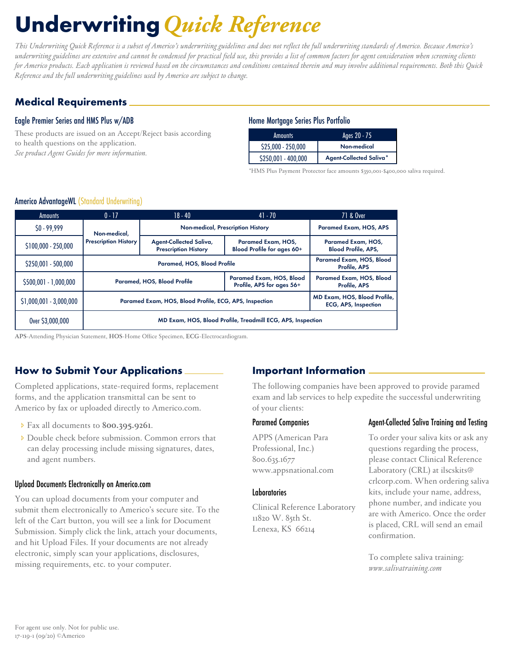# Underwriting*Quick Reference*

*This Underwriting Quick Reference is a subset of Americo's underwriting guidelines and does not reflect the full underwriting standards of Americo. Because Americo's underwriting guidelines are extensive and cannot be condensed for practical field use, this provides a list of common factors for agent consideration when screening clients for Americo products. Each application is reviewed based on the circumstances and conditions contained therein and may involve additional requirements. Both this Quick Reference and the full underwriting guidelines used by Americo are subject to change.* 

# Medical Requirements

## Eagle Premier Series and HMS Plus w/ADB

These products are issued on an Accept/Reject basis according to health questions on the application. *See product Agent Guides for more information.*

#### Home Mortgage Series Plus Portfolio

| <b>Amounts</b>      | Ages 20 - 75            |
|---------------------|-------------------------|
| \$25,000 - 250,000  | Non-medical             |
| \$250,001 - 400,000 | Agent-Collected Saliva* |

\*HMS Plus Payment Protector face amounts \$350,001-\$400,000 saliva required.

#### Americo AdvantageWL (Standard Underwriting)

| <b>Amounts</b>           | $0 - 17$                                                                                                              | $18 - 40$                                              | $41 - 70$                                             | 71 & Over                                        |  |  |
|--------------------------|-----------------------------------------------------------------------------------------------------------------------|--------------------------------------------------------|-------------------------------------------------------|--------------------------------------------------|--|--|
| $$0 - 99,999$            | Non-medical,                                                                                                          | Non-medical, Prescription History                      |                                                       | <b>Paramed Exam, HOS, APS</b>                    |  |  |
| $$100,000 - 250,000$     | <b>Prescription History</b>                                                                                           | Agent-Collected Saliva,<br><b>Prescription History</b> | Paramed Exam, HOS,<br>Blood Profile for ages 60+      | Paramed Exam, HOS,<br><b>Blood Profile, APS,</b> |  |  |
| $$250,001 - 500,000$     | Paramed, HOS, Blood Profile                                                                                           |                                                        |                                                       | Paramed Exam, HOS, Blood<br>Profile, APS         |  |  |
| $$500,001 - 1,000,000$   |                                                                                                                       | Paramed, HOS, Blood Profile                            | Paramed Exam, HOS, Blood<br>Profile, APS for ages 56+ | Paramed Exam, HOS, Blood<br>Profile, APS         |  |  |
| $$1,000,001 - 3,000,000$ | MD Exam, HOS, Blood Profile,<br>Paramed Exam, HOS, Blood Profile, ECG, APS, Inspection<br><b>ECG, APS, Inspection</b> |                                                        |                                                       |                                                  |  |  |
| Over \$3,000,000         | MD Exam, HOS, Blood Profile, Treadmill ECG, APS, Inspection                                                           |                                                        |                                                       |                                                  |  |  |

**APS**-Attending Physician Statement, **HOS**-Home Office Specimen, **ECG**-Electrocardiogram.

## How to Submit Your Applications

Completed applications, state-required forms, replacement forms, and the application transmittal can be sent to Americo by fax or uploaded directly to Americo.com.

- î Fax all documents to **800.395.9261**.
- **Double check before submission. Common errors that** can delay processing include missing signatures, dates, and agent numbers.

#### Upload Documents Electronically on Americo.com

You can upload documents from your computer and submit them electronically to Americo's secure site. To the left of the Cart button, you will see a link for Document Submission. Simply click the link, attach your documents, and hit Upload Files. If your documents are not already electronic, simply scan your applications, disclosures, missing requirements, etc. to your computer.

## Important Information

The following companies have been approved to provide paramed exam and lab services to help expedite the successful underwriting of your clients:

#### Paramed Companies

APPS (American Para Professional, Inc.) 800.635.1677 www.appsnational.com

#### Laboratories

Clinical Reference Laboratory 11820 W. 85th St. Lenexa, KS 66214

### Agent-Collected Saliva Training and Testing

To order your saliva kits or ask any questions regarding the process, please contact Clinical Reference Laboratory (CRL) at ilscskits@ crlcorp.com. When ordering saliva kits, include your name, address, phone number, and indicate you are with Americo. Once the order is placed, CRL will send an email confirmation.

To complete saliva training: *www.salivatraining.com*